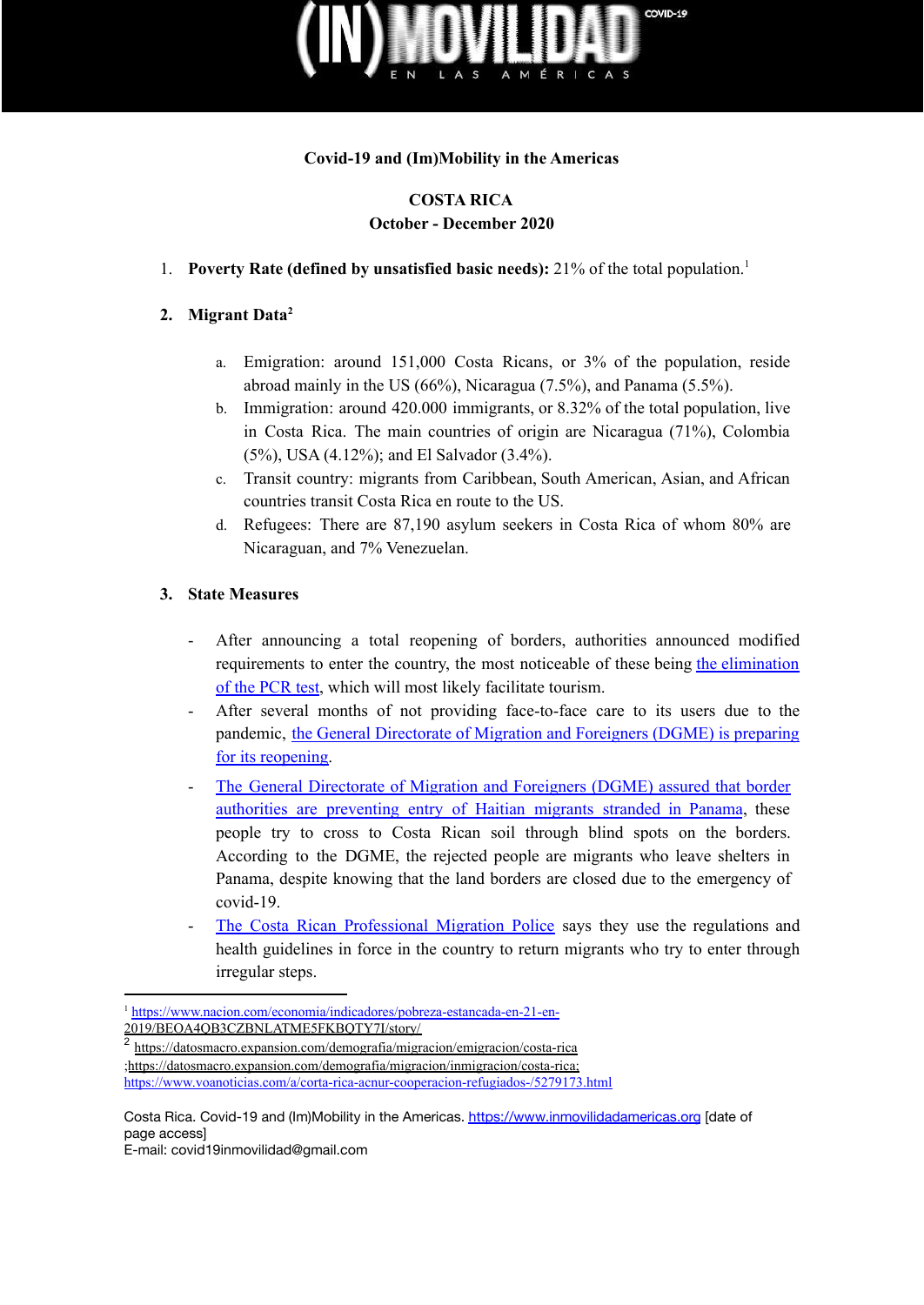

## **Covid-19 and (Im)Mobility in the Americas**

## **COSTA RICA October - December 2020**

1. **Poverty Rate (defined by unsatisfied basic needs):** 21% of the total population. 1

## **2. Migrant Data 2**

- a. Emigration: around 151,000 Costa Ricans, or 3% of the population, reside abroad mainly in the US (66%), Nicaragua (7.5%), and Panama (5.5%).
- b. Immigration: around 420.000 immigrants, or 8.32% of the total population, live in Costa Rica. The main countries of origin are Nicaragua (71%), Colombia (5%), USA (4.12%); and El Salvador (3.4%).
- c. Transit country: migrants from Caribbean, South American, Asian, and African countries transit Costa Rica en route to the US.
- d. Refugees: There are 87,190 asylum seekers in Costa Rica of whom 80% are Nicaraguan, and 7% Venezuelan.

## **3. State Measures**

- After announcing a total reopening of borders, authorities announced modified requirements to enter the country, the most noticeable of these being the [elimination](https://semanariouniversidad.com/pais/costa-rica-abre-fronteras-peroel-mundo-esta-dispuesto-a-viajar/) of the [PCR](https://semanariouniversidad.com/pais/costa-rica-abre-fronteras-peroel-mundo-esta-dispuesto-a-viajar/) test, which will most likely facilitate tourism.
- After several months of not providing face-to-face care to its users due to the pandemic, the General [Directorate](https://www.teletica.com/buen-dia/migracion-brindara-nuevamente-atencion-presencial-a-usuarios_270352) of Migration and Foreigners (DGME) is preparing for its [reopening.](https://www.teletica.com/buen-dia/migracion-brindara-nuevamente-atencion-presencial-a-usuarios_270352)
- The General [Directorate](https://www.nacion.com/el-pais/direccion-de-migracion-impide-ingreso-irregular-de/LYH7DNCGOVAMPH6WSS76GQ5NU4/story/) of Migration and Foreigners (DGME) assured that border authorities are [preventing](https://www.nacion.com/el-pais/direccion-de-migracion-impide-ingreso-irregular-de/LYH7DNCGOVAMPH6WSS76GQ5NU4/story/) entry of Haitian migrants stranded in Panama, these people try to cross to Costa Rican soil through blind spots on the borders. According to the DGME, the rejected people are migrants who leave shelters in Panama, despite knowing that the land borders are closed due to the emergency of covid-19.
- The Costa Rican [Professional](https://www.nacion.com/el-pais/direccion-de-migracion-impide-ingreso-irregular-de/LYH7DNCGOVAMPH6WSS76GQ5NU4/story/) Migration Police says they use the regulations and health guidelines in force in the country to return migrants who try to enter through irregular steps.

Costa Rica. Covid-19 and (Im)Mobility in the Americas. <https://www.inmovilidadamericas.org> [date of page access]

E-mail: covid19inmovilidad@gmail.com

<sup>1</sup> <https://www.nacion.com/economia/indicadores/pobreza-estancada-en-21-en->[2019/BEOA4QB3CZBNLATME5FKBQTY7I/story/](https://www.nacion.com/economia/indicadores/pobreza-estancada-en-21-en-2019/BEOA4QB3CZBNLATME5FKBQTY7I/story/)

<sup>2</sup> <https://datosmacro.expansion.com/demografia/migracion/emigracion/costa-rica> [;https://datosmacro.expansion.com/demografia/migracion/inmigracion/costa-rica](https://datosmacro.expansion.com/demografia/migracion/inmigracion/costa-rica); <https://www.voanoticias.com/a/corta-rica-acnur-cooperacion-refugiados-/5279173.html>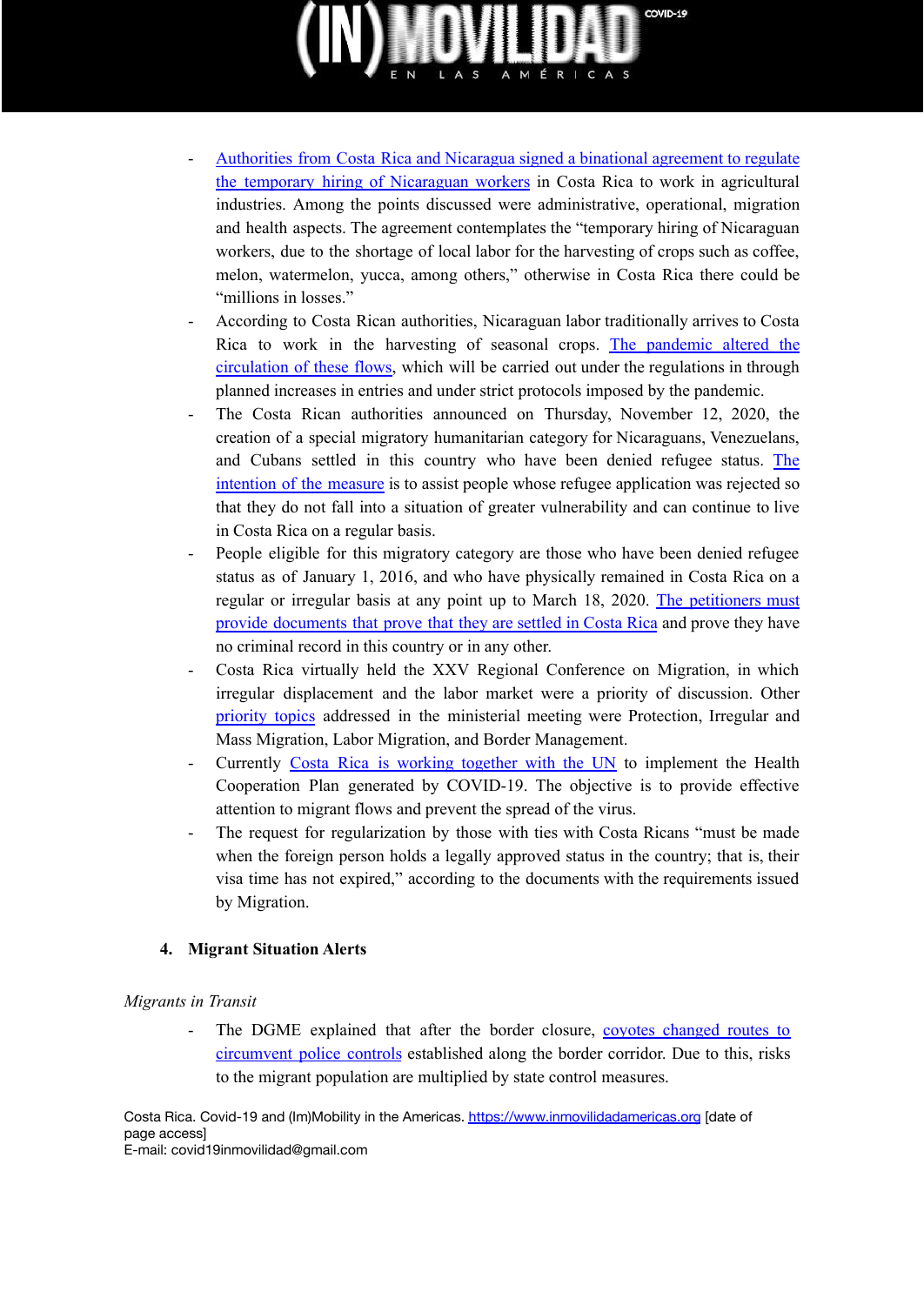

- [Authorities](https://www.vozdeamerica.com/centroamerica/costarica-le-apueste-la-mano-de-obra-nicaraguense) from Costa Rica and Nicaragua signed a binational agreement to regulate the temporary hiring of [Nicaraguan](https://www.vozdeamerica.com/centroamerica/costarica-le-apueste-la-mano-de-obra-nicaraguense) workers in Costa Rica to work in agricultural industries. Among the points discussed were administrative, operational, migration and health aspects. The agreement contemplates the "temporary hiring of Nicaraguan workers, due to the shortage of local labor for the harvesting of crops such as coffee, melon, watermelon, yucca, among others," otherwise in Costa Rica there could be "millions in losses."
- According to Costa Rican authorities, Nicaraguan labor traditionally arrives to Costa Rica to work in the harvesting of seasonal crops. The [pandemic](https://www.vozdeamerica.com/centroamerica/costarica-le-apueste-la-mano-de-obra-nicaraguense) altered the [circulation](https://www.vozdeamerica.com/centroamerica/costarica-le-apueste-la-mano-de-obra-nicaraguense) of these flows, which will be carried out under the regulations in through planned increases in entries and under strict protocols imposed by the pandemic.
- The Costa Rican authorities announced on Thursday, November 12, 2020, the creation of a special migratory humanitarian category for Nicaraguans, Venezuelans, and Cubans settled in this country who have been denied refugee status. [The](https://www.elcomercio.com/actualidad/costa-rica-categoria-migratoria-nicaragueenses.html) [intention](https://www.elcomercio.com/actualidad/costa-rica-categoria-migratoria-nicaragueenses.html) of the measure is to assist people whose refugee application was rejected so that they do not fall into a situation of greater vulnerability and can continue to live in Costa Rica on a regular basis.
- People eligible for this migratory category are those who have been denied refugee status as of January 1, 2016, and who have physically remained in Costa Rica on a regular or irregular basis at any point up to March 18, 2020. The [petitioners](https://www.elcomercio.com/actualidad/costa-rica-categoria-migratoria-nicaragueenses.html) must provide [documents](https://www.elcomercio.com/actualidad/costa-rica-categoria-migratoria-nicaragueenses.html) that prove that they are settled in Costa Rica and prove they have no criminal record in this country or in any other.
- Costa Rica virtually held the XXV Regional Conference on Migration, in which irregular displacement and the labor market were a priority of discussion. Other [priority](https://www.vozdeamerica.com/centroamerica/costa-rica-se-compromete-proteger-y-dar-acogida-migrantes) topics addressed in the ministerial meeting were Protection, Irregular and Mass Migration, Labor Migration, and Border Management.
- Currently Costa Rica is [working](https://www.vozdeamerica.com/centroamerica/costa-rica-se-compromete-proteger-y-dar-acogida-migrantes) together with the UN to implement the Health Cooperation Plan generated by COVID-19. The objective is to provide effective attention to migrant flows and prevent the spread of the virus.
- The request for regularization by those with ties with Costa Ricans "must be made when the foreign person holds a legally approved status in the country; that is, their visa time has not expired," according to the documents with the requirements issued by Migration.

#### **4. Migrant Situation Alerts**

#### *Migrants in Transit*

The DGME explained that after the border closure, covotes [changed](https://www.nacion.com/el-pais/direccion-de-migracion-impide-ingreso-irregular-de/LYH7DNCGOVAMPH6WSS76GQ5NU4/story/) routes to [circumvent](https://www.nacion.com/el-pais/direccion-de-migracion-impide-ingreso-irregular-de/LYH7DNCGOVAMPH6WSS76GQ5NU4/story/) police controls established along the border corridor. Due to this, risks to the migrant population are multiplied by state control measures.

Costa Rica. Covid-19 and (Im)Mobility in the Americas. <https://www.inmovilidadamericas.org> [date of page access] E-mail: covid19inmovilidad@gmail.com